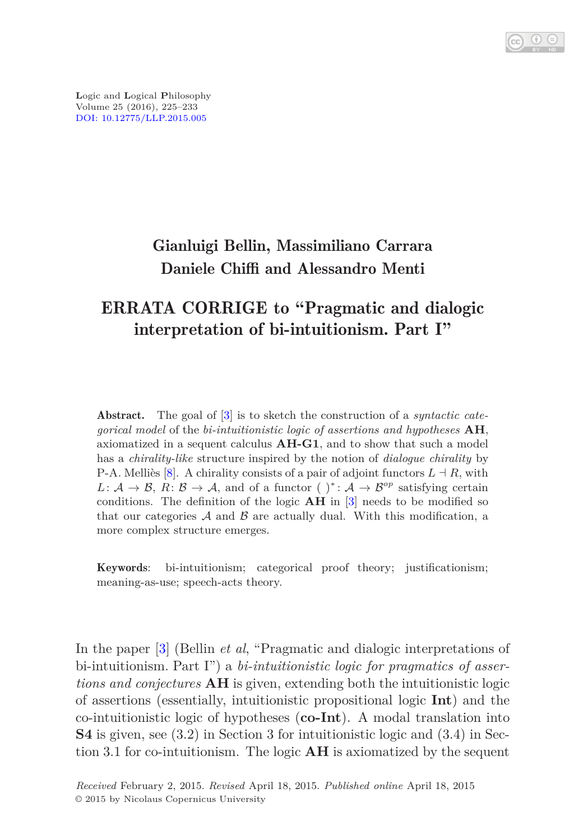

**L**ogic and **L**ogical **P**hilosophy Volume 25 (2016), 225–233 [DOI: 10.12775/LLP.2015.005](http://dx.doi.org/10.12775/LLP.2015.005)

# Gianluigi Bellin, Massimiliano Carrara Daniele Chiffi and Alessandro Menti

# ERRATA CORRIGE to "Pragmatic and dialogic interpretation of bi-intuitionism. Part I"

Abstract. The goal of [\[3\]](#page-8-0) is to sketch the construction of a *syntactic categorical model* of the *bi-intuitionistic logic of assertions and hypotheses* **AH**, axiomatized in a sequent calculus **AH-G1**, and to show that such a model has a *chirality-like* structure inspired by the notion of *dialogue chirality* by P-A. Melliès [\[8\]](#page-8-1). A chirality consists of a pair of adjoint functors  $L \dashv R$ , with  $L: \mathcal{A} \to \mathcal{B}, R: \mathcal{B} \to \mathcal{A},$  and of a functor ( )<sup>\*</sup>:  $\mathcal{A} \to \mathcal{B}^{op}$  satisfying certain conditions. The definition of the logic **AH** in [\[3\]](#page-8-0) needs to be modified so that our categories  $A$  and  $B$  are actually dual. With this modification, a more complex structure emerges.

Keywords: bi-intuitionism; categorical proof theory; justificationism; meaning-as-use; speech-acts theory.

In the paper [\[3\]](#page-8-0) (Bellin *et al*, "Pragmatic and dialogic interpretations of bi-intuitionism. Part I") a *bi-intuitionistic logic for pragmatics of assertions and conjectures* **AH** is given, extending both the intuitionistic logic of assertions (essentially, intuitionistic propositional logic **Int**) and the co-intuitionistic logic of hypotheses (**co-Int**). A modal translation into **S4** is given, see (3.2) in Section 3 for intuitionistic logic and (3.4) in Section 3.1 for co-intuitionism. The logic **AH** is axiomatized by the sequent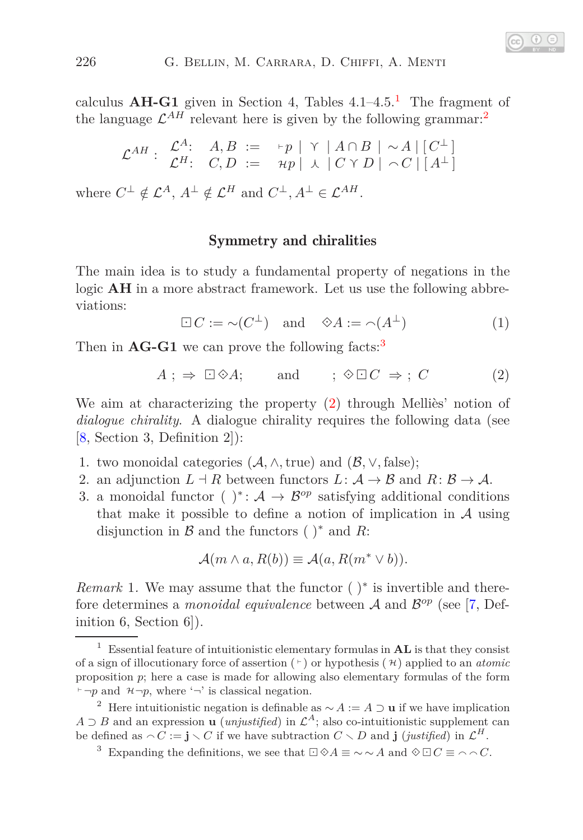calculus  $AH-G1$  $AH-G1$  given in Section 4, Tables  $4.1-4.5$ <sup>1</sup>. The fragment of the language  $\mathcal{L}^{AH}$  relevant here is given by the following grammar:<sup>[2](#page-1-1)</sup>

$$
\mathcal{L}^{AH}:\begin{array}{rcl} \mathcal{L}^A:& A,B\ :=\ &\vdash p\mid\ \curlyvee\ \mid A\cap B\mid\ \sim A\mid [C^\perp] \\ \mathcal{L}^H:& C,D\ :=\ &\Vert np\mid\ \curlywedge\ \mid C\curlyvee D\mid\ \sim C\mid [A^\perp] \end{array}
$$

where  $C^{\perp} \notin \mathcal{L}^{A}, A^{\perp} \notin \mathcal{L}^{H}$  and  $C^{\perp}, A^{\perp} \in \mathcal{L}^{AH}$ .

### Symmetry and chiralities

The main idea is to study a fundamental property of negations in the logic **AH** in a more abstract framework. Let us use the following abbreviations:

<span id="page-1-4"></span>
$$
\Box C := \sim(C^{\perp}) \quad \text{and} \quad \diamondsuit A := \sim(A^{\perp}) \tag{1}
$$

Then in  $AG-G1$  we can prove the following facts:<sup>[3](#page-1-2)</sup>

<span id="page-1-3"></span>
$$
A \; ; \; \Rightarrow \; \Box \, \diamondsuit A; \qquad \text{and} \qquad ; \; \diamondsuit \, \Box C \; \Rightarrow \; ; \; C \tag{2}
$$

We aim at characterizing the property [\(2\)](#page-1-3) through Melliès' notion of *dialogue chirality*. A dialogue chirality requires the following data (see [\[8,](#page-8-1) Section 3, Definition 2]):

1. two monoidal categories  $(A, \wedge, \text{true})$  and  $(B, \vee, \text{false})$ ;

- 2. an adjunction  $L \dashv R$  between functors  $L: \mathcal{A} \to \mathcal{B}$  and  $R: \mathcal{B} \to \mathcal{A}$ .
- 3. a monoidal functor (  $)^{*}: A \rightarrow \mathcal{B}^{op}$  satisfying additional conditions that make it possible to define a notion of implication in  $A$  using disjunction in  $\beta$  and the functors ( )<sup>\*</sup> and  $R$ :

$$
\mathcal{A}(m \wedge a, R(b)) \equiv \mathcal{A}(a, R(m^* \vee b)).
$$

*Remark* 1. We may assume that the functor ( )<sup>\*</sup> is invertible and therefore determines a *monoidal equivalence* between A and  $\mathcal{B}^{op}$  (see [\[7,](#page-8-2) Definition 6, Section 6]).



<span id="page-1-0"></span><sup>1</sup> Essential feature of intuitionistic elementary formulas in **AL** is that they consist of a sign of illocutionary force of assertion ( <sup>⊢</sup> ) or hypothesis ( <sup>H</sup>) applied to an *atomic* proposition *p*; here a case is made for allowing also elementary formulas of the form  $\vdash \neg p$  and  $\mathcal{H} \neg p$ , where ' $\neg$ ' is classical negation.

<sup>&</sup>lt;sup>2</sup> Here intuitionistic negation is definable as  $\sim A := A \supset \mathbf{u}$  if we have implication  $A \supset B$  and an expression **u** (*unjustified*) in  $\mathcal{L}^A$ ; also co-intuitionistic supplement can be defined as  $\sim C := \mathbf{j} \setminus C$  if we have subtraction  $C \setminus D$  and  $\mathbf{j}$  (*justified*) in  $\mathcal{L}^H$ .

<span id="page-1-2"></span><span id="page-1-1"></span><sup>&</sup>lt;sup>3</sup> Expanding the definitions, we see that  $\Box \Diamond A \equiv \sim \sim A$  and  $\Diamond \Box C \equiv \sim \sim C$ .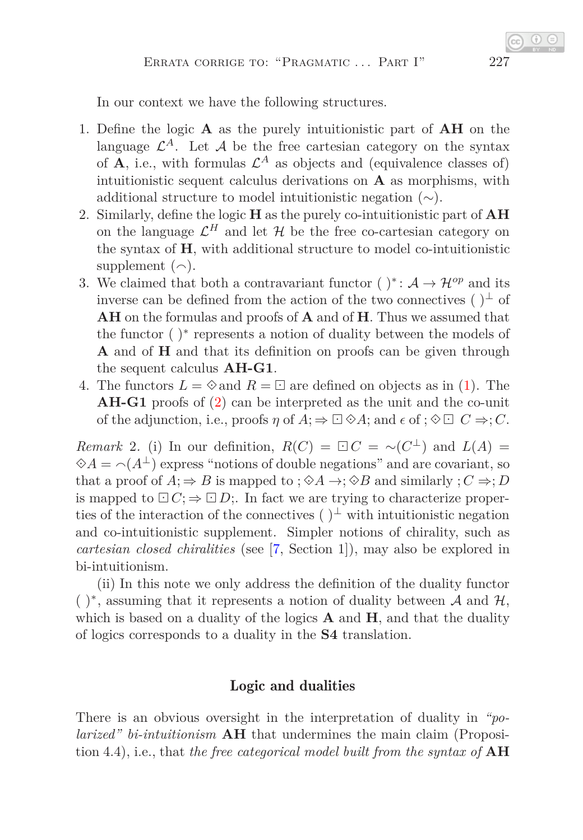In our context we have the following structures.

- 1. Define the logic **A** as the purely intuitionistic part of **AH** on the language  $\mathcal{L}^A$ . Let  $\mathcal A$  be the free cartesian category on the syntax of  $\mathbf{A}$ , i.e., with formulas  $\mathcal{L}^A$  as objects and (equivalence classes of) intuitionistic sequent calculus derivations on **A** as morphisms, with additional structure to model intuitionistic negation  $(\sim)$ .
- 2. Similarly, define the logic **H** as the purely co-intuitionistic part of **AH** on the language  $\mathcal{L}^H$  and let  $\mathcal H$  be the free co-cartesian category on the syntax of **H**, with additional structure to model co-intuitionistic supplement  $(\frown)$ .
- 3. We claimed that both a contravariant functor ( $)$ <sup>\*</sup>:  $\mathcal{A} \rightarrow \mathcal{H}^{op}$  and its inverse can be defined from the action of the two connectives ( ) $^\perp$  of **AH** on the formulas and proofs of **A** and of **H**. Thus we assumed that the functor ( )<sup>∗</sup> represents a notion of duality between the models of **A** and of **H** and that its definition on proofs can be given through the sequent calculus **AH-G1**.
- 4. The functors  $L = \diamond$  and  $R = \square$  are defined on objects as in [\(1\)](#page-1-4). The **AH-G1** proofs of [\(2\)](#page-1-3) can be interpreted as the unit and the co-unit of the adjunction, i.e., proofs  $\eta$  of  $A$ ;  $\Rightarrow \Box \otimes A$ ; and  $\epsilon$  of ;  $\otimes \Box$   $C \Rightarrow$ ;  $C$ .

*Remark* 2*.* (i) In our definition,  $R(C) = \Box C = \sim (C^{\perp})$  and  $L(A) =$  $\Diamond A = \Diamond (A^{\perp})$  express "notions of double negations" and are covariant, so that a proof of  $A$ ;  $\Rightarrow$  *B* is mapped to ;  $\Diamond A \rightarrow$ ;  $\Diamond B$  and similarly ;  $C \Rightarrow$ ; *D* is mapped to  $\Box C$ ;  $\Rightarrow \Box D$ ;. In fact we are trying to characterize properties of the interaction of the connectives ( $)^\perp$  with intuitionistic negation and co-intuitionistic supplement. Simpler notions of chirality, such as *cartesian closed chiralities* (see [\[7,](#page-8-2) Section 1]), may also be explored in bi-intuitionism.

(ii) In this note we only address the definition of the duality functor ( $)$ <sup>\*</sup>, assuming that it represents a notion of duality between  $\mathcal A$  and  $\mathcal H$ , which is based on a duality of the logics **A** and **H**, and that the duality of logics corresponds to a duality in the **S4** translation.

### Logic and dualities

There is an obvious oversight in the interpretation of duality in *"polarized" bi-intuitionism* **AH** that undermines the main claim (Proposition 4.4), i.e., that *the free categorical model built from the syntax of* **AH**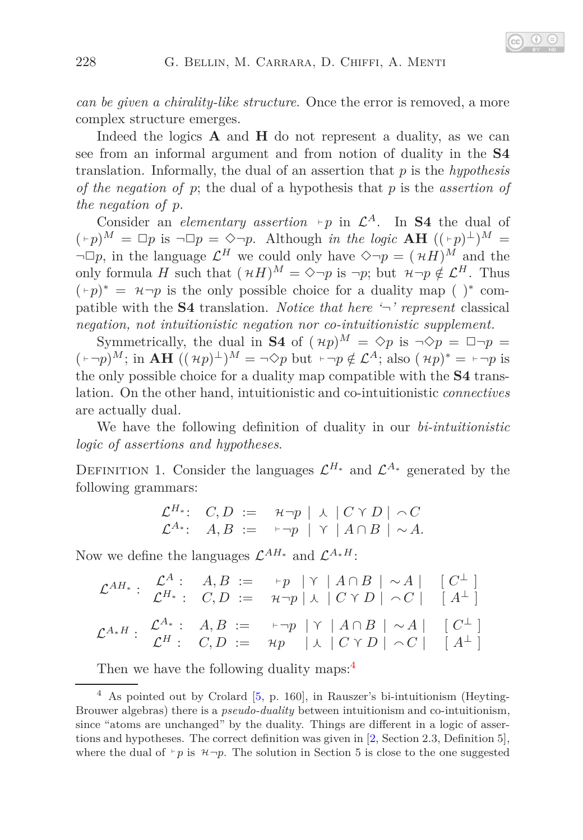

*can be given a chirality-like structure*. Once the error is removed, a more complex structure emerges.

Indeed the logics **A** and **H** do not represent a duality, as we can see from an informal argument and from notion of duality in the **S4** translation. Informally, the dual of an assertion that *p* is the *hypothesis of the negation of p*; the dual of a hypothesis that *p* is the *assertion of the negation of p*.

Consider an *elementary assertion*  $\nvdash p$  in  $\mathcal{L}^A$ . In **S4** the dual of  $(-p)^M = \Box p$  is  $\neg \Box p = \Diamond \neg p$ . Although *in the logic* **AH**  $((\neg p)^{\perp})^M =$  $\neg \Box p$ , in the language  $\mathcal{L}^H$  we could only have  $\Diamond \neg p = (\mathcal{H}H)^M$  and the only formula *H* such that  $(\mathcal{H}H)^M = \Diamond \neg p$  is  $\neg p$ ; but  $\mathcal{H} \neg p \notin \mathcal{L}^H$ . Thus  $($  +  $p$ )<sup>\*</sup> =  $\mathcal{H}$   $\neg p$  is the only possible choice for a duality map ( )<sup>\*</sup> compatible with the **S4** translation. *Notice that here '*¬*' represent* classical *negation, not intuitionistic negation nor co-intuitionistic supplement.*

Symmetrically, the dual in **S4** of  $(\mathcal{H}p)^M = \Diamond p$  is  $\neg \Diamond p = \Box \neg p =$  $({\nvdash}\neg p)^M$ ; in **AH**  $((\nuparrow\mu)^{\perp})^M = \neg \Diamond p$  but  $\vdash \neg p \notin \mathcal{L}^A$ ; also  $(\nuparrow\mu)^* = \vdash \neg p$  is the only possible choice for a duality map compatible with the **S4** translation. On the other hand, intuitionistic and co-intuitionistic *connectives* are actually dual.

We have the following definition of duality in our *bi-intuitionistic logic of assertions and hypotheses*.

DEFINITION 1. Consider the languages  $\mathcal{L}^{H_*}$  and  $\mathcal{L}^{A_*}$  generated by the following grammars:

$$
\mathcal{L}^{H_*}: C, D := \mathcal{H} \neg p \mid \bot \mid C \curlyvee D \mid \neg C
$$
  

$$
\mathcal{L}^{A_*}: A, B := \vdash \neg p \mid \curlyvee \mid A \cap B \mid \sim A.
$$

Now we define the languages  $\mathcal{L}^{AH_*}$  and  $\mathcal{L}^{A_*H}$ :

$$
\mathcal{L}^{AH*}: \begin{array}{cccccc} \mathcal{L}^A: & A, B & := & \text{``p} & \text{'} \mid A \cap B & \text{''} & \text{''} \mid & C^{\perp} \\ \mathcal{L}^{H*}: & C, D & := & \text{''} \text{''} \mid \text{''} \mid & C \text{''} & D & \text{''} \mid & A^{\perp} \mid \\ \mathcal{L}^{A*H}: & \mathcal{L}^{A*}: & A, B & := & \text{``\text{''} \mid \text{''} \mid & A \cap B & \text{''} \mid & A \mid & & C^{\perp} \\ \mathcal{L}^{H}: & C, D & := & \text{''} \mid \text{''} \mid & A & C \text{''} & D & \text{''} \mid & A^{\perp} \mid & A^{\perp} \mid \end{array}
$$

Then we have the following duality maps:<sup>[4](#page-3-0)</sup>

<span id="page-3-0"></span> $4$  As pointed out by Crolard  $[5, p. 160]$ , in Rauszer's bi-intuitionism (Heyting-Brouwer algebras) there is a *pseudo-duality* between intuitionism and co-intuitionism, since "atoms are unchanged" by the duality. Things are different in a logic of assertions and hypotheses. The correct definition was given in [\[2,](#page-8-4) Section 2.3, Definition 5], where the dual of  $\vdash p$  is  $\mathcal{H}\neg p$ . The solution in Section 5 is close to the one suggested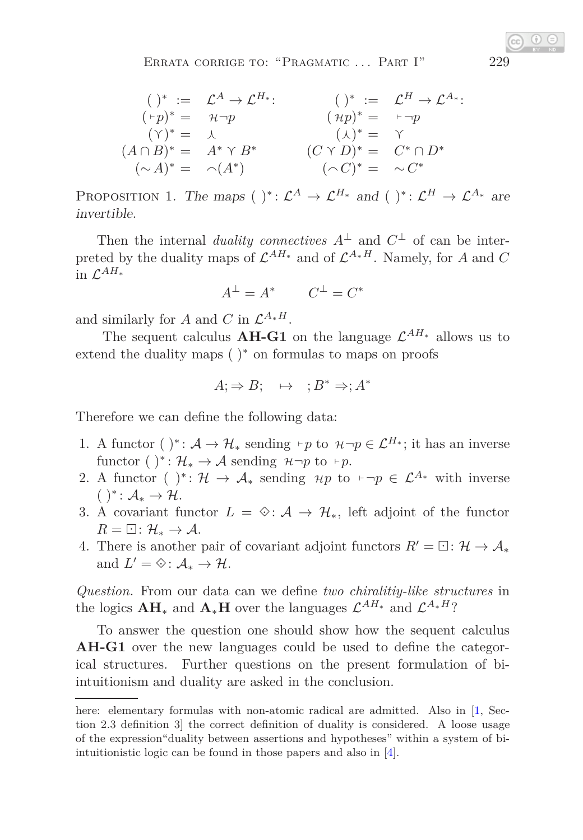$$
(\begin{array}{rcl}\n(\begin{array}{rcl}\n)^* & := & \mathcal{L}^A \to \mathcal{L}^{H_*}: \\
(\n+p)^* & = & \mathcal{H} \neg p \\
(\gamma)^* & = & \lambda\n\end{array}) \qquad (\begin{array}{rcl}\n\mathcal{H}^* & \to & \mathcal{L}^H \to \mathcal{L}^{A_*}: \\
(\n+p)^* & = & \mathcal{H} \neg p \\
(\lambda)^* & = & \mathcal{H} \land \mu\n\end{array}) \qquad (\begin{array}{rcl}\n\mathcal{H}^* & \to & \mathcal{H}^* \\
(\lambda)^* & = & \mathcal{H} \land \mu\n\end{array}) \qquad (\begin{array}{rcl}\n\mathcal{H}^* & \to & \mathcal{H}^* \\
(\lambda)^* & = & \mathcal{H} \land \mu\n\end{array}) \qquad (\begin{array}{rcl}\n\mathcal{H}^* & \to & \mathcal{H} \land \mu\n\end{array}) \qquad (\begin{array}{rcl}\n\mathcal{H}^* & \to & \mathcal{H} \land \mu\n\end{array}) \qquad (\begin{array}{rcl}\n\mathcal{H}^* & \to & \mathcal{H} \land \mu\n\end{array}) \qquad (\begin{array}{rcl}\n\mathcal{H}^* & \to & \mathcal{H} \land \mu\n\end{array}) \qquad (\begin{array}{rcl}\n\mathcal{H}^* & \to & \mathcal{H} \land \mu\n\end{array}) \qquad (\begin{array}{rcl}\n\mathcal{H}^* & \to & \mathcal{H} \land \mu\n\end{array}) \qquad (\begin{array}{rcl}\n\mathcal{H}^* & \to & \mathcal{H} \land \mu\n\end{array}) \qquad (\begin{array}{rcl}\n\mathcal{H}^* & \to & \mathcal{H} \land \mu\n\end{array}) \qquad (\begin{array}{rcl}\n\mathcal{H}^* & \to & \mathcal{H} \land \mu\n\end{array}) \qquad (\begin{array}{rcl}\n\mathcal{H}^* & \to & \mathcal{H} \land \mu\n\end{array}) \qquad (\begin{array}{rcl}\n\mathcal{H}^* & \to & \mathcal{H} \land \mu\n\end{array}) \qquad (\begin{array}{rcl}\n\mathcal{H}^* & \to & \mathcal{H} \land \mu\n\end{array}) \qquad (\
$$

PROPOSITION 1. The maps ( )<sup>\*</sup>:  $\mathcal{L}^A \to \mathcal{L}^{H_*}$  and ( )<sup>\*</sup>:  $\mathcal{L}^H \to \mathcal{L}^{A_*}$  are invertible.

Then the internal *duality connectives*  $A^{\perp}$  and  $C^{\perp}$  of can be interpreted by the duality maps of  $\mathcal{L}^{AH_*}$  and of  $\mathcal{L}^{A_*H}$ . Namely, for *A* and *C* in L *AH*∗

 $A^{\perp} = A^*$   $C^{\perp} = C^*$ 

and similarly for *A* and *C* in  $\mathcal{L}^{A*H}$ .

The sequent calculus **AH-G1** on the language  $\mathcal{L}^{AH*}$  allows us to extend the duality maps ( )<sup>∗</sup> on formulas to maps on proofs

$$
A; \Rightarrow B; \quad \mapsto \quad; B^* \Rightarrow A^*
$$

Therefore we can define the following data:

- 1. A functor ( )<sup>\*</sup>:  $A \to \mathcal{H}_*$  sending  $\nvdash p$  to  $\mathcal{H} \neg p \in \mathcal{L}^{H_*}$ ; it has an inverse functor ( )<sup>\*</sup>:  $\mathcal{H}_* \to \mathcal{A}$  sending  $\mathcal{H} \neg p$  to  $\nvdash p$ .
- 2. A functor ( )<sup>\*</sup>:  $\mathcal{H} \to \mathcal{A}_{*}$  sending  $\mathcal{H}p$  to  $\vdash \neg p \in \mathcal{L}^{A_{*}}$  with inverse  $()^* \colon \mathcal{A}_* \to \mathcal{H}.$
- 3. A covariant functor  $L = \diamondsuit: \mathcal{A} \to \mathcal{H}_*$ , left adjoint of the functor  $R = \Box: \mathcal{H}_* \to \mathcal{A}.$
- 4. There is another pair of covariant adjoint functors  $R' = \Box : \mathcal{H} \to \mathcal{A}_*$ and  $L' = \diamondsuit \colon \mathcal{A}_* \to \mathcal{H}$ .

*Question.* From our data can we define *two chiralitiy-like structures* in the logics  $AH_*$  and  $A_*H$  over the languages  $\mathcal{L}^{AH_*}$  and  $\mathcal{L}^{A_*H}$ ?

To answer the question one should show how the sequent calculus **AH-G1** over the new languages could be used to define the categorical structures. Further questions on the present formulation of biintuitionism and duality are asked in the conclusion.

here: elementary formulas with non-atomic radical are admitted. Also in [\[1,](#page-8-5) Section 2.3 definition 3] the correct definition of duality is considered. A loose usage of the expression"duality between assertions and hypotheses" within a system of biintuitionistic logic can be found in those papers and also in [\[4\]](#page-8-6).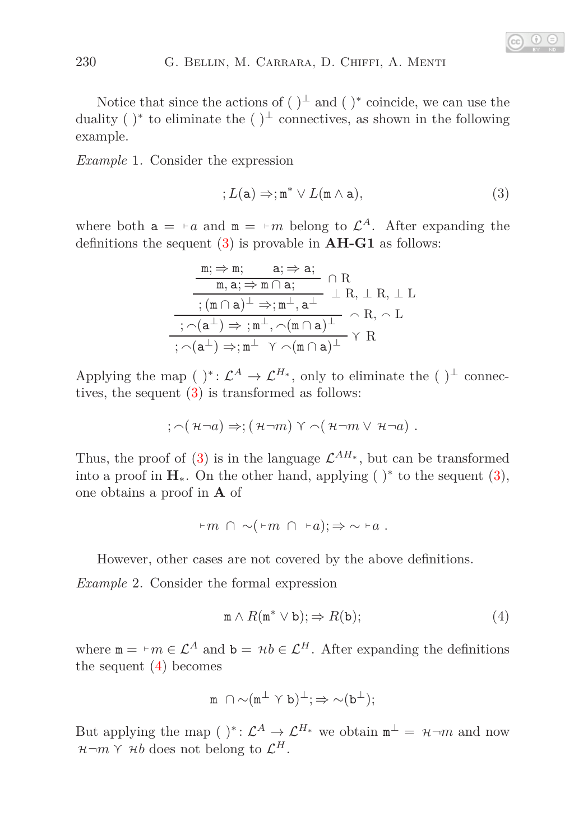Notice that since the actions of (  $)^{\perp}$  and ( )<sup>\*</sup> coincide, we can use the duality ( )<sup>\*</sup> to eliminate the (  $)^\perp$  connectives, as shown in the following example.

*Example* 1*.* Consider the expression

<span id="page-5-0"></span>
$$
;L(\mathtt{a}) \Rightarrow; \mathtt{m}^* \vee L(\mathtt{m} \wedge \mathtt{a}), \tag{3}
$$

where both  $a = \pm a$  and  $m = \pm m$  belong to  $\mathcal{L}^A$ . After expanding the definitions the sequent [\(3\)](#page-5-0) is provable in **AH-G1** as follows:

$$
\begin{array}{c} \hline \text{m}; \Rightarrow \text{m}; \qquad \text{a}; \Rightarrow \text{a};\\ \hline \text{m}, \text{a}; \Rightarrow \text{m} \cap \text{a};\\ \hline ; (\text{m} \cap \text{a})^{\perp} \Rightarrow ; \text{m}^{\perp}, \text{a}^{\perp} \qquad \perp \text{R}, \perp \text{R}, \perp \text{L}\\ \hline ; \neg (\text{a}^{\perp}) \Rightarrow ; \text{m}^{\perp}, \neg (\text{m} \cap \text{a})^{\perp} \qquad \curvearrowright \text{R}, \sim \text{L}\\ \hline ; \neg (\text{a}^{\perp}) \Rightarrow ; \text{m}^{\perp} \ \curlyvee \neg (\text{m} \cap \text{a})^{\perp} \end{array}
$$

Applying the map ( )<sup>\*</sup>:  $\mathcal{L}^A \to \mathcal{L}^{H_*}$ , only to eliminate the ( )<sup>⊥</sup> connectives, the sequent [\(3\)](#page-5-0) is transformed as follows:

$$
;\,\widehat{\,\,}(\mathcal{H}\neg a)\Rightarrow;(\mathcal{H}\neg m)\curlyvee\widehat{\,\,}(\mathcal{H}\neg m\vee\mathcal{H}\neg a)\;.
$$

Thus, the proof of  $(3)$  is in the language  $\mathcal{L}^{AH*}$ , but can be transformed into a proof in  $H_*$ . On the other hand, applying ( )<sup>\*</sup> to the sequent [\(3\)](#page-5-0), one obtains a proof in **A** of

$$
\vdash m \ \cap \ \sim (\ \vdash m \ \cap \ \vdash a); \ \Rightarrow \ \sim \ \vdash a \ .
$$

However, other cases are not covered by the above definitions.

*Example* 2*.* Consider the formal expression

<span id="page-5-1"></span>
$$
\mathbf{m} \wedge R(\mathbf{m}^* \vee \mathbf{b}); \Rightarrow R(\mathbf{b}); \tag{4}
$$

where  $\mathbf{m} = \mathbf{m} \in \mathcal{L}^A$  and  $\mathbf{b} = \mathcal{H}b \in \mathcal{L}^H$ . After expanding the definitions the sequent  $(4)$  becomes

$$
\texttt{m}\ \cap\!\sim\!(\texttt{m}^{\bot}\curlyvee\texttt{b})^{\bot};\ \Rightarrow\ \sim\!(\texttt{b}^{\bot});
$$

But applying the map ( )<sup>\*</sup>:  $\mathcal{L}^A \to \mathcal{L}^{H_*}$  we obtain  $\mathbf{m}^{\perp} = \mathcal{H} \neg m$  and now  $\mathcal{H} \neg m \curlyvee \mathcal{H}$ *b* does not belong to  $\mathcal{L}^H$ .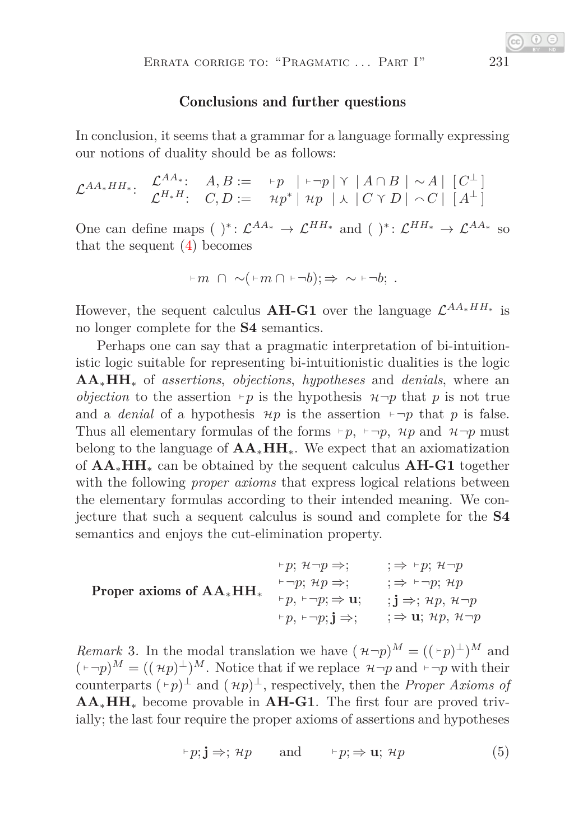#### Conclusions and further questions

In conclusion, it seems that a grammar for a language formally expressing our notions of duality should be as follows:

$$
\mathcal{L}^{AA_*HH_*}: \begin{array}{ccc} \mathcal{L}^{AA_*}: & A, B := & \vdash p & \vdash \neg p & \upharpoonright \neg p & \upharpoonright AB & \neg A & [C^{\perp}] \\ \mathcal{L}^{H_*H}: & C, D := & \mathcal{H}p^* & \mathcal{H}p & \downarrow & [C \lor D & \neg C & [A^{\perp}] \end{array}
$$

One can define maps ( )<sup>\*</sup>:  $\mathcal{L}^{AA_*} \to \mathcal{L}^{HH_*}$  and ( )<sup>\*</sup>:  $\mathcal{L}^{HH_*} \to \mathcal{L}^{AA_*}$  so that the sequent [\(4\)](#page-5-1) becomes

$$
\vdash m \ \cap \ \sim (\ \vdash m \cap \ \vdash \neg b); \ \Rightarrow \ \sim \ \vdash \neg b; \ .
$$

However, the sequent calculus **AH-G1** over the language  $\mathcal{L}^{AA_*HH_*}$  is no longer complete for the **S4** semantics.

Perhaps one can say that a pragmatic interpretation of bi-intuitionistic logic suitable for representing bi-intuitionistic dualities is the logic **AA**∗**HH**<sup>∗</sup> of *assertions*, *objections*, *hypotheses* and *denials*, where an *objection* to the assertion ⊢*p* is the hypothesis  $H\neg p$  that *p* is not true and a *denial* of a hypothesis  $\mathcal{H}p$  is the assertion  $\vdash \neg p$  that p is false. Thus all elementary formulas of the forms  $\nvdash p$ ,  $\vdash \neg p$ , Hp and H $\neg p$  must belong to the language of **AA**∗**HH**∗. We expect that an axiomatization of **AA**∗**HH**<sup>∗</sup> can be obtained by the sequent calculus **AH-G1** together with the following *proper axioms* that express logical relations between the elementary formulas according to their intended meaning. We conjecture that such a sequent calculus is sound and complete for the **S4** semantics and enjoys the cut-elimination property.

| Proper axioms of $AA_*HH_*$ | $\vdash p$ ; $\mathcal{H} \neg p \Rightarrow$ ; | $\Rightarrow$ +p; $\mathcal{H}\neg p$                                           |
|-----------------------------|-------------------------------------------------|---------------------------------------------------------------------------------|
|                             | $\vdash \neg p$ ; $\mathcal{H}p \Rightarrow$ ;  | $\Rightarrow$ $\mapsto$ $\mapsto$ $\mapsto$ $\mapsto$ $\mapsto$                 |
|                             | $p \mapsto p; \Rightarrow \mathbf{u};$          | $\mathbf{i} \Rightarrow \mathbf{i} \Rightarrow \mathbf{H} p, \mathbf{H} \neg p$ |
|                             | $p, \vdash \neg p; j \Rightarrow$               | $\Rightarrow$ <b>u</b> ; $\mathcal{H}p$ , $\mathcal{H}\neg p$                   |

*Remark* 3. In the modal translation we have  $(\mathcal{H}\neg p)^M = ((\neg p)^{\perp})^M$  and  $({\nvdash}\neg p)^M = ((\nuparrow p)^{\perp})^M$ . Notice that if we replace  $\mathcal{H}\neg p$  and  $\vdash\neg p$  with their counterparts  $(\nvdash p)^{\perp}$  and  $(\nuparrow p)^{\perp}$ , respectively, then the *Proper Axioms of* **AA**∗**HH**<sup>∗</sup> become provable in **AH-G1**. The first four are proved trivially; the last four require the proper axioms of assertions and hypotheses

<span id="page-6-0"></span>
$$
\vdash p; \mathbf{j} \Rightarrow; \mathcal{H}p \qquad \text{and} \qquad \vdash p; \Rightarrow \mathbf{u}; \mathcal{H}p \tag{5}
$$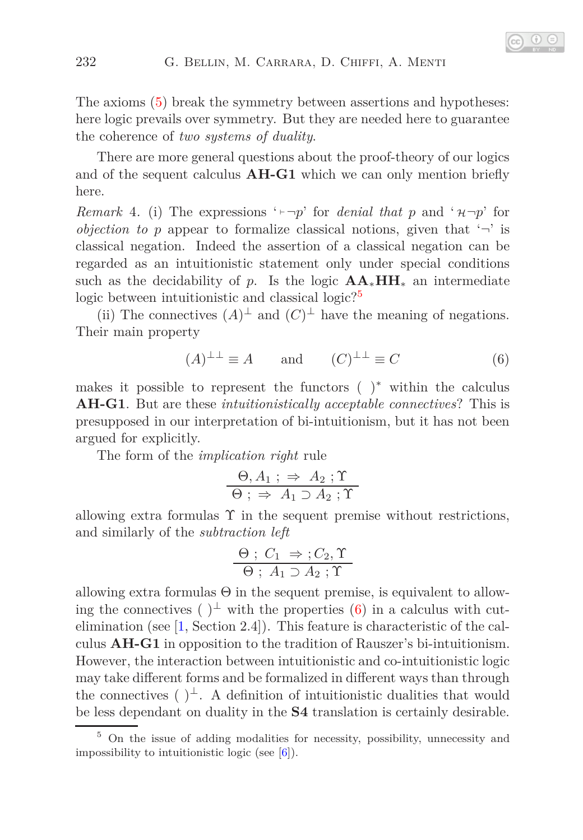The axioms [\(5\)](#page-6-0) break the symmetry between assertions and hypotheses: here logic prevails over symmetry. But they are needed here to guarantee the coherence of *two systems of duality*.

There are more general questions about the proof-theory of our logics and of the sequent calculus **AH-G1** which we can only mention briefly here.

*Remark* 4. (i) The expressions ' ⊢¬*p*' for *denial that p* and ' $H\rightarrow p'$  for *objection to p* appear to formalize classical notions, given that  $\rightarrow$  is classical negation. Indeed the assertion of a classical negation can be regarded as an intuitionistic statement only under special conditions such as the decidability of *p*. Is the logic  $AA_*HH_*$  an intermediate logic between intuitionistic and classical logic?<sup>[5](#page-7-0)</sup>

(ii) The connectives  $(A)^{\perp}$  and  $(C)^{\perp}$  have the meaning of negations. Their main property

<span id="page-7-1"></span>
$$
(A)^{\perp \perp} \equiv A \qquad \text{and} \qquad (C)^{\perp \perp} \equiv C \tag{6}
$$

makes it possible to represent the functors  $( )^*$  within the calculus **AH-G1**. But are these *intuitionistically acceptable connectives*? This is presupposed in our interpretation of bi-intuitionism, but it has not been argued for explicitly.

The form of the *implication right* rule

$$
\frac{\Theta, A_1 \; ; \; \Rightarrow \; A_2 \; ; \Upsilon}{\Theta \; ; \; \Rightarrow \; A_1 \supset A_2 \; ; \Upsilon}
$$

allowing extra formulas  $\Upsilon$  in the sequent premise without restrictions, and similarly of the *subtraction left*

$$
\frac{\Theta: C_1 \Rightarrow C_2, \Upsilon}{\Theta: A_1 \supset A_2; \Upsilon}
$$

allowing extra formulas  $\Theta$  in the sequent premise, is equivalent to allow-ing the connectives ( )<sup>⊥</sup> with the properties [\(6\)](#page-7-1) in a calculus with cutelimination (see [\[1,](#page-8-5) Section 2.4]). This feature is characteristic of the calculus **AH-G1** in opposition to the tradition of Rauszer's bi-intuitionism. However, the interaction between intuitionistic and co-intuitionistic logic may take different forms and be formalized in different ways than through the connectives (  $)^\perp$ . A definition of intuitionistic dualities that would be less dependant on duality in the **S4** translation is certainly desirable.

<span id="page-7-0"></span><sup>5</sup> On the issue of adding modalities for necessity, possibility, unnecessity and impossibility to intuitionistic logic (see  $[6]$ ).